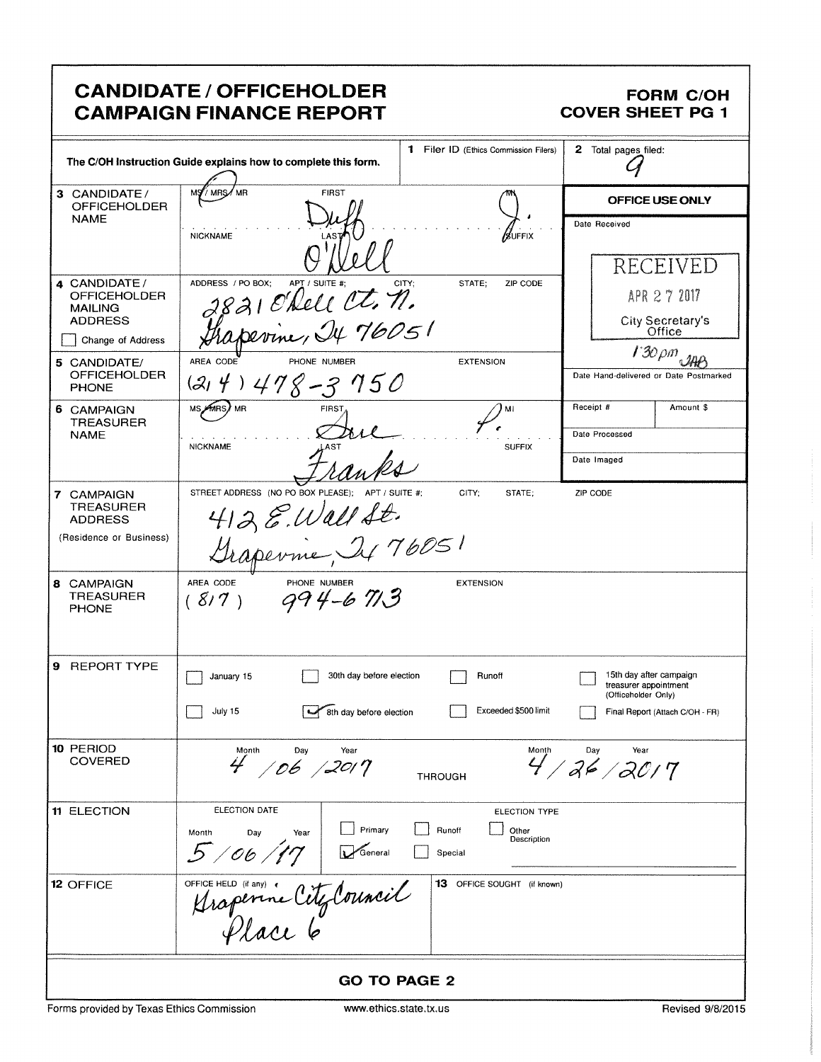|                                                                             | <b>CANDIDATE / OFFICEHOLDER</b><br><b>CAMPAIGN FINANCE REPORT</b>                                    |                          |                   |                                       | <b>COVER SHEET PG 1</b>                      | <b>FORM C/OH</b>                                       |
|-----------------------------------------------------------------------------|------------------------------------------------------------------------------------------------------|--------------------------|-------------------|---------------------------------------|----------------------------------------------|--------------------------------------------------------|
|                                                                             | The C/OH Instruction Guide explains how to complete this form.                                       |                          |                   | 1 Filer ID (Ethics Commission Filers) | 2 Total pages filed:                         |                                                        |
| 3 CANDIDATE/<br><b>OFFICEHOLDER</b>                                         | MR<br>/ MRS                                                                                          | <b>FIRST</b>             |                   |                                       |                                              | <b>OFFICE USE ONLY</b>                                 |
| <b>NAME</b>                                                                 | <b>NICKNAME</b>                                                                                      |                          |                   | /guffix                               | Date Received                                | RECEIVED                                               |
| 4 CANDIDATE/<br><b>OFFICEHOLDER</b><br><b>MAILING</b><br><b>ADDRESS</b>     | ADDRESS / PO BOX:<br>APT / SUITE #:<br>821 O'Dell Ct. n.                                             |                          | CITY;<br>STATE;   | ZIP CODE                              |                                              | APR 2 7 2017<br>City Secretary's                       |
| Change of Address                                                           | perine, It 76051                                                                                     |                          |                   |                                       |                                              | Office                                                 |
| 5 CANDIDATE/<br><b>OFFICEHOLDER</b><br><b>PHONE</b>                         | AREA CODE<br>PHONE NUMBER<br>$1478 - 3750$<br>(2, 4)                                                 |                          |                   | <b>EXTENSION</b>                      |                                              | $130 \rho m$<br>Date Hand-delivered or Date Postmarked |
| 6 CAMPAIGN                                                                  | MS AMRS MR<br>FIRST.                                                                                 |                          |                   | MI                                    | Receipt #                                    | Amount \$                                              |
| <b>TREASURER</b><br><b>NAME</b>                                             | <b>NICKNAME</b>                                                                                      |                          |                   | <b>SUFFIX</b>                         | Date Processed                               |                                                        |
|                                                                             |                                                                                                      |                          |                   |                                       | Date Imaged                                  |                                                        |
| 7 CAMPAIGN<br><b>TREASURER</b><br><b>ADDRESS</b><br>(Residence or Business) | STREET ADDRESS (NO PO BOX PLEASE);<br>$4128$ . Wall St.<br>$M_{1.2}$ Marshall St. 76051<br>Grapevine | APT / SUITE #:           | CITY:             | STATE:                                | ZIP CODE                                     |                                                        |
| 8 CAMPAIGN<br>TREASURER<br><b>PHONE</b>                                     | AREA CODE<br>PHONE NUMBER<br>(8/7)                                                                   | 794-6713                 |                   | <b>EXTENSION</b>                      |                                              |                                                        |
| 9<br><b>REPORT TYPE</b>                                                     | January 15                                                                                           | 30th day before election |                   | Runoff                                | treasurer appointment<br>(Officeholder Only) | 15th day after campaign                                |
|                                                                             | July 15                                                                                              | 8th day before election  |                   | Exceeded \$500 limit                  |                                              | Final Report (Attach C/OH - FR)                        |
| 10 PERIOD<br><b>COVERED</b>                                                 | Month<br>Day<br>4 / 06 / 2017                                                                        | Year                     | <b>THROUGH</b>    | Month                                 | Day<br>Year<br>4/26/20/7                     |                                                        |
| <b>11 ELECTION</b>                                                          | ELECTION DATE<br>Day<br>Month<br>Year<br>5/06/17                                                     | Primary<br>General       | Runoff<br>Special | ELECTION TYPE<br>Other<br>Description |                                              |                                                        |
| 12 OFFICE                                                                   | OFFICE HELD (if any) <<br>Arapenne City Council                                                      |                          |                   | 13 OFFICE SOUGHT (if known)           |                                              |                                                        |
|                                                                             |                                                                                                      | <b>GO TO PAGE 2</b>      |                   |                                       |                                              |                                                        |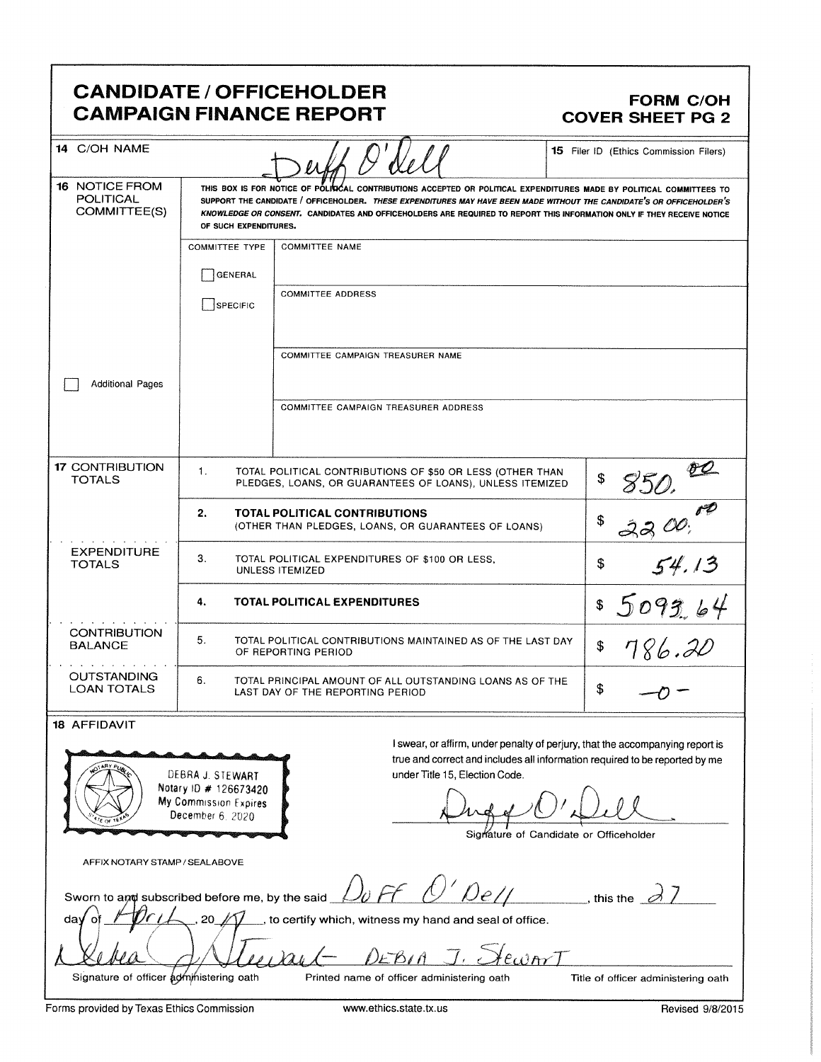### CANDIDATE / OFFICEHOLDER<br>CAMPAIGN FINANCE REPORT CAMPAIGN FORM COVER SHEET PG 2 **CAMPAIGN FINANCE REPORT**

| CANDIDATE / OFFICEHOLDER                                                                                                                                                                                                                                                                                                                             | <b>FORM C/OH</b>                                                                                                                                                                                                                                                                                                                                                                                                                                                                                                                                                                |       |  |  |
|------------------------------------------------------------------------------------------------------------------------------------------------------------------------------------------------------------------------------------------------------------------------------------------------------------------------------------------------------|---------------------------------------------------------------------------------------------------------------------------------------------------------------------------------------------------------------------------------------------------------------------------------------------------------------------------------------------------------------------------------------------------------------------------------------------------------------------------------------------------------------------------------------------------------------------------------|-------|--|--|
| <b>CAMPAIGN FINANCE REPORT</b><br>14 C/OH NAME<br>16 NOTICE FROM<br>POLITICAL<br>COMMITTEE(S)<br>OF SUCH EXPENDITURES.<br>GENERAL<br>SPECIFIC<br>Additional Pages                                                                                                                                                                                    | <b>COVER SHEET PG 2</b><br>15 Filer ID (Ethics Commission Filers)<br>THIS BOX IS FOR NOTICE OF POLICIÓAL CONTRIBUTIONS ACCEPTED OR POLITICAL EXPENDITURES MADE BY POLITICAL COMMITTEES<br>SUPPORT THE CANDIDATE / OFFICEHOLDER. THESE EXPENDITURES MAY HAVE BEEN MADE WITHOUT THE CANDIDATE'S OR OFFICEHOLDER'S<br>KNOWLEDGE OR CONSENT. CANDIDATES AND OFFICEHOLDERS ARE REQUIRED TO REPORT THIS INFORMATION ONLY IF THEY RECEIVE NOTICE<br>COMMITTEE TYPE COMMITTEE NAME<br>COMMITTEE ADDRESS<br>COMMITTEE CAMPAIGN TREASURER NAME<br>COMMITTEE CAMPAIGN TREASURER ADDRESS    |       |  |  |
| 17 CONTRIBUTION<br>TOTALS<br>EXPENDITURE<br>TOTALS<br>CONTRIBUTION<br>BALANCE<br>OUTSTANDING<br>LOAN TOTALS                                                                                                                                                                                                                                          | 850.00<br>TOTAL POLITICAL CONTRIBUTIONS OF \$50 OR LESS (OTHER THAN $\parallel$ \$<br>TOTAL POLITICAL CONTRIBUTIONS<br>3300<br>(OTHER THAN PLEDGES, LOANS, OR GUARANTEES OF LOANS)<br>TOTAL POLITICAL EXPENDITURES OF \$100 OR LESS,<br>UNLESS ITEMIZED<br>5093.64<br>TOTAL POLITICAL EXPENDITURES<br>TOTAL POLITICAL CONTRIBUTIONS MAINTAINED AS OF THE LAST DAY<br>8786.20<br>OF REPORTING PERIOD<br>TOTAL PRINCIPAL AMOUNT OF ALL OUTSTANDING LOANS AS OF THE<br>LAST DAY OF THE REPORTING PERIOD                                                                            | 54.13 |  |  |
| 18 AFFIDAVIT<br><b>PRODUCED BY</b><br>DEBRA J. STEWART<br>$\left( \left( \left\langle \right\langle \right\rangle \right)$ Notary ID # 126673420<br>/ My Commission Expires<br>SUE OF TEXAS<br>December 6, 2020<br>However and the contract of the contract of<br>AFFIX NOTARY STAMP / SEALABOVE<br>Debea<br>Signature of officer administering oath | $-0-$<br>I swear, or affirm, under penalty of perjury, that the accompanying report is<br>true and correct and includes all information required to be reported by me<br>under Title 15, Election Code.<br>Dugo O'Dell<br>Signature of Candidate or Officeholder<br>Sworn to and subscribed before me, by the said $\mathcal{D}$ of $\ell$ $\mathcal{D}$ $\ell$ $\ell$ $\ell$ $\ell$ , this the $\mathcal{D}$<br>DEBIA J.<br>Printed name of officer administering oath<br>Title of officer administering oath<br>Forms provided by Texas Ethics Commission<br>Revised 9/8/2015 |       |  |  |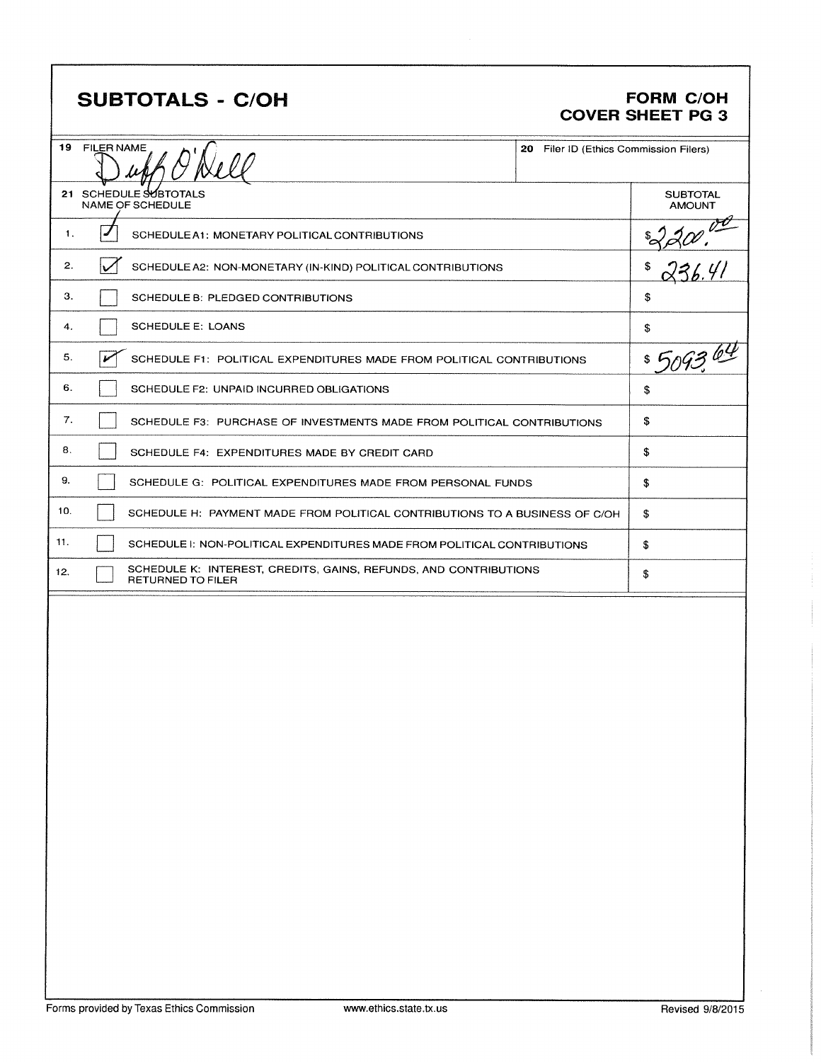## SUBTOTALS - C/OH FORM C/OH

# COVER SHEET PG 3

| 19  | <b>FILER NAME</b> |                                                                                       | 20 Filer ID (Ethics Commission Filers) |                                  |
|-----|-------------------|---------------------------------------------------------------------------------------|----------------------------------------|----------------------------------|
|     |                   | 21 SCHEDULE SUBTOTALS<br><b>NAME OF SCHEDULE</b>                                      |                                        | <b>SUBTOTAL</b><br><b>AMOUNT</b> |
| 1.  | ◢                 | SCHEDULE A1: MONETARY POLITICAL CONTRIBUTIONS                                         |                                        |                                  |
| 2.  |                   | SCHEDULE A2: NON-MONETARY (IN-KIND) POLITICAL CONTRIBUTIONS                           |                                        | \$                               |
| З.  |                   | SCHEDULE B: PLEDGED CONTRIBUTIONS                                                     |                                        | \$                               |
| 4.  |                   | <b>SCHEDULE E: LOANS</b>                                                              |                                        | \$                               |
| 5.  | مخط               | SCHEDULE F1: POLITICAL EXPENDITURES MADE FROM POLITICAL CONTRIBUTIONS                 |                                        | \$ 5093 64                       |
| 6.  |                   | SCHEDULE F2: UNPAID INCURRED OBLIGATIONS                                              |                                        | \$                               |
| 7.  |                   | SCHEDULE F3: PURCHASE OF INVESTMENTS MADE FROM POLITICAL CONTRIBUTIONS                |                                        | \$                               |
| 8.  |                   | SCHEDULE F4: EXPENDITURES MADE BY CREDIT CARD                                         |                                        | \$                               |
| 9.  |                   | SCHEDULE G: POLITICAL EXPENDITURES MADE FROM PERSONAL FUNDS                           |                                        | \$                               |
| 10. |                   | SCHEDULE H: PAYMENT MADE FROM POLITICAL CONTRIBUTIONS TO A BUSINESS OF C/OH           |                                        | \$                               |
| 11. |                   | SCHEDULE I: NON-POLITICAL EXPENDITURES MADE FROM POLITICAL CONTRIBUTIONS              |                                        | \$                               |
| 12. |                   | SCHEDULE K: INTEREST, CREDITS, GAINS, REFUNDS, AND CONTRIBUTIONS<br>RETURNED TO FILER |                                        | \$                               |
|     |                   |                                                                                       |                                        |                                  |
|     |                   |                                                                                       |                                        |                                  |
|     |                   |                                                                                       |                                        |                                  |
|     |                   |                                                                                       |                                        |                                  |
|     |                   |                                                                                       |                                        |                                  |
|     |                   |                                                                                       |                                        |                                  |
|     |                   |                                                                                       |                                        |                                  |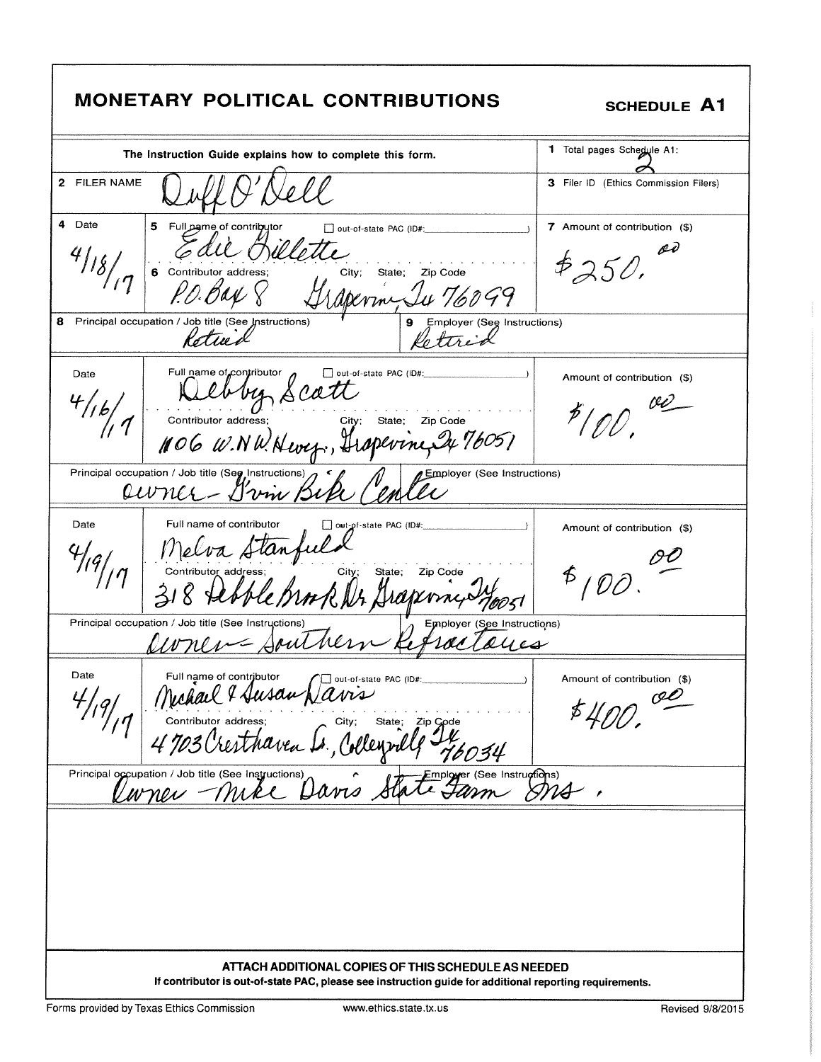| <b>MONETARY POLITICAL CONTRIBUTIONS</b>                                                                                                                                                                                  | <b>SCHEDULE A1</b>                            |
|--------------------------------------------------------------------------------------------------------------------------------------------------------------------------------------------------------------------------|-----------------------------------------------|
| The Instruction Guide explains how to complete this form.                                                                                                                                                                | 1 Total pages Schedule A1:                    |
| 2 FILER NAME                                                                                                                                                                                                             | 3 Filer ID (Ethics Commission Filers)         |
| Date<br>4<br>5 Full pame of contributor<br>out-of-state PAC (ID#:<br>City; State; Zip Code<br>6 Contributor address;<br>$\rho$ of $\rho$<br>aperme, In 76099<br>Principal occupation / Job title (See Instructions)<br>8 | 7 Amount of contribution (\$)<br>oð<br>\$250. |
| Employer (See Instructions)<br>Rotrick                                                                                                                                                                                   |                                               |
| Full name of contributor<br>Date<br>out-of-state PAC (ID#:<br>every scatt<br>Contributor address; City; State; Zip Code<br>106 W.NW. Nevez;, Hipperine 24 76051                                                          | Amount of contribution (\$)<br>$P(\rho \rho)$ |
| Principal occupation / Job title (Seg, Instructions)<br>Employer (See Instructions)<br>Companon / JOD THE (Seg Instructions)                                                                                             |                                               |
| Date<br>Full name of contributor<br>out-of-state PAC (ID#:<br>Melva Stang<br>Contributor address: City: State; Zip Code                                                                                                  | Amount of contribution (\$)<br>5100           |
| Principal occupation / Job title (See Instructions)<br>Employer (See Instructions)<br>Uvnen-Souther                                                                                                                      |                                               |
| Date<br>Full name of contributor<br>out-of-state PAC (ID#:<br>Vavis<br>Contributor address;<br>State; Zip Code                                                                                                           | Amount of contribution (\$)<br>œÓ             |
| Principal occupation / Job title (See Instructions)<br>Lavis State Farm SMA                                                                                                                                              |                                               |
|                                                                                                                                                                                                                          |                                               |
| ATTACH ADDITIONAL COPIES OF THIS SCHEDULE AS NEEDED<br>If contributor is out-of-state PAC, please see instruction guide for additional reporting requirements.                                                           |                                               |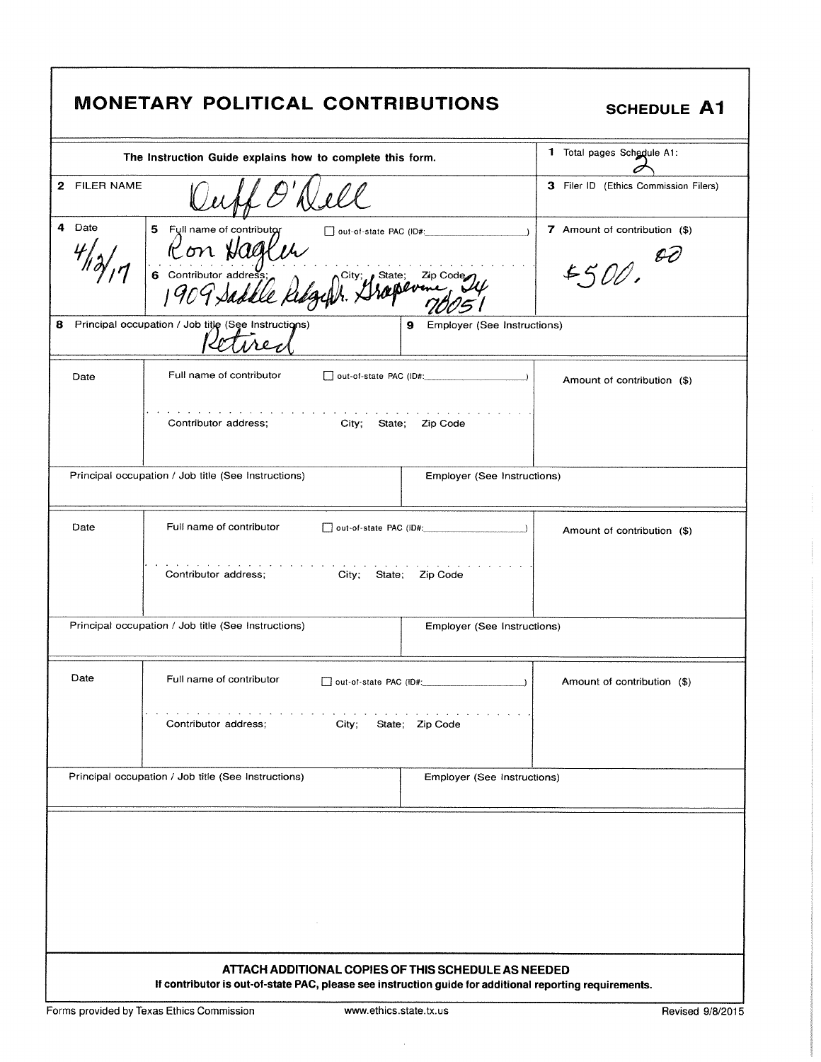|              | <b>MONETARY POLITICAL CONTRIBUTIONS</b>                                                                                                                        | SCHEDULE A1                              |                                         |                             |  |
|--------------|----------------------------------------------------------------------------------------------------------------------------------------------------------------|------------------------------------------|-----------------------------------------|-----------------------------|--|
|              | The Instruction Guide explains how to complete this form.                                                                                                      | 1 Total pages Schedule A1:               |                                         |                             |  |
| 2 FILER NAME |                                                                                                                                                                | 3 Filer ID (Ethics Commission Filers)    |                                         |                             |  |
| 4 Date       | 5 Full name of contributor<br>Ron Hage<br>1909.                                                                                                                | 7 Amount of contribution (\$)<br>5500.00 |                                         |                             |  |
|              | 8 Principal occupation / Job title (See Instructions)<br>1102                                                                                                  |                                          | <b>Employer (See Instructions)</b><br>9 |                             |  |
| Date         | Full name of contributor                                                                                                                                       |                                          | out-of-state PAC (ID#:<br>$\lambda$     | Amount of contribution (\$) |  |
|              | and a state of the state of the state of<br>Contributor address;                                                                                               |                                          | City; State; Zip Code                   |                             |  |
|              | Principal occupation / Job title (See Instructions)                                                                                                            |                                          | Employer (See Instructions)             |                             |  |
| Date         | Full name of contributor                                                                                                                                       |                                          | $\Box$ out-of-state PAC (ID#: $\Box$ )  | Amount of contribution (\$) |  |
|              | Contributor address;                                                                                                                                           | City;<br>State;                          | Zip Code                                |                             |  |
|              | Principal occupation / Job title (See Instructions)                                                                                                            |                                          | Employer (See Instructions)             |                             |  |
| Date         | Full name of contributor                                                                                                                                       | out-of-state PAC (ID#:                   |                                         | Amount of contribution (\$) |  |
|              | $\mathbf{r}$ and $\mathbf{r}$ and $\mathbf{r}$ and $\mathbf{r}$<br>Contributor address;                                                                        | City;                                    | State; Zip Code                         |                             |  |
|              | Principal occupation / Job title (See Instructions)                                                                                                            |                                          | Employer (See Instructions)             |                             |  |
|              |                                                                                                                                                                |                                          |                                         |                             |  |
|              | ATTACH ADDITIONAL COPIES OF THIS SCHEDULE AS NEEDED<br>If contributor is out-of-state PAC, please see instruction guide for additional reporting requirements. |                                          |                                         |                             |  |

I

 $\bar{a}$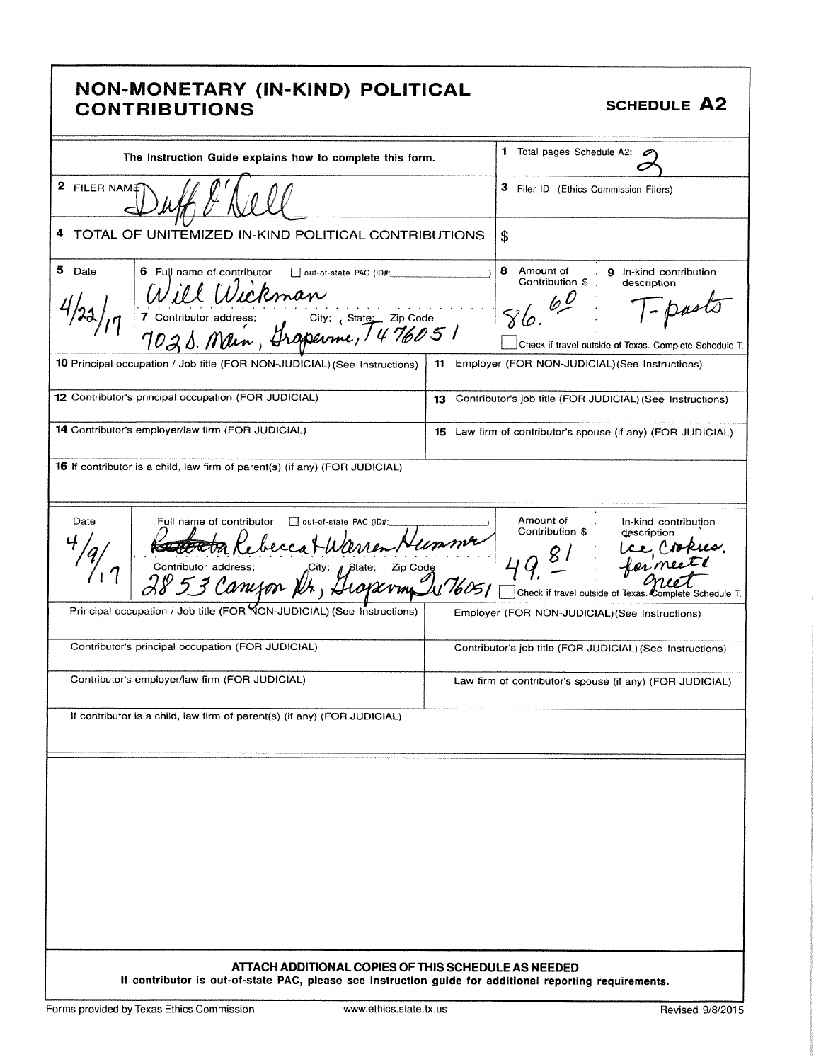#### NON -MONETARY ( IN- KIND) POLITICAL CONTRIBUTIONS **SCHEDULE A2**

| The Instruction Guide explains how to complete this form.                                                                                                                                                                | 1 Total pages Schedule A2:                                                                                                                                                                                 |
|--------------------------------------------------------------------------------------------------------------------------------------------------------------------------------------------------------------------------|------------------------------------------------------------------------------------------------------------------------------------------------------------------------------------------------------------|
| 2 FILER NAME                                                                                                                                                                                                             | 3 Filer ID (Ethics Commission Filers)                                                                                                                                                                      |
| 4<br>TOTAL OF UNITEMIZED IN-KIND POLITICAL CONTRIBUTIONS                                                                                                                                                                 | \$                                                                                                                                                                                                         |
| 5 Date<br>6 Full name of contributor<br>out-of-state PAC (ID#:<br>Will Wickman<br>7 contributor address: City: State: Zip Code<br>7021. Main, Grapevine, 1476051                                                         | 8<br>Amount of<br>9 In-kind contribution<br>$\mathcal{L}$<br>Contribution \$<br>description<br>Check if travel outside of Texas. Complete Schedule T.                                                      |
| 10 Principal occupation / Job title (FOR NON-JUDICIAL) (See Instructions)                                                                                                                                                | Employer (FOR NON-JUDICIAL) (See Instructions)<br>11                                                                                                                                                       |
| 12 Contributor's principal occupation (FOR JUDICIAL)                                                                                                                                                                     | Contributor's job title (FOR JUDICIAL) (See Instructions)<br>13                                                                                                                                            |
| <b>14</b> Contributor's employer/law firm (FOR JUDICIAL)                                                                                                                                                                 | 15 Law firm of contributor's spouse (if any) (FOR JUDICIAL)                                                                                                                                                |
| <b>16</b> If contributor is a child, law firm of parent(s) (if any) (FOR JUDICIAL)                                                                                                                                       |                                                                                                                                                                                                            |
| Date<br>Full name of contributor<br>out-of-state PAC (ID#:<br>Ketter Rebecca Warren Nus<br>Contributor address:<br>2853 Canyon Nr, Hicraryn Di<br>Principal occupation / Job title (FOR NON-JUDICIAL) (See Instructions) | Amount of<br>In-kind contribution<br>Contribution \$<br>description<br>Lee Cropies.<br>formeet<br>Check if travel outside of Texas. Complete Schedule T.<br>Employer (FOR NON-JUDICIAL) (See Instructions) |
| Contributor's principal occupation (FOR JUDICIAL)                                                                                                                                                                        | Contributor's job title (FOR JUDICIAL) (See Instructions)                                                                                                                                                  |
| Contributor's employer/law firm (FOR JUDICIAL)                                                                                                                                                                           | Law firm of contributor's spouse (if any) (FOR JUDICIAL)                                                                                                                                                   |
| If contributor is a child, law firm of parent(s) (if any) (FOR JUDICIAL)                                                                                                                                                 |                                                                                                                                                                                                            |
|                                                                                                                                                                                                                          |                                                                                                                                                                                                            |
| ATTACH ADDITIONAL COPIES OF THIS SCHEDULE AS NEEDED<br>If contributor is out-of-state PAC, please see instruction guide for additional reporting requirements.                                                           |                                                                                                                                                                                                            |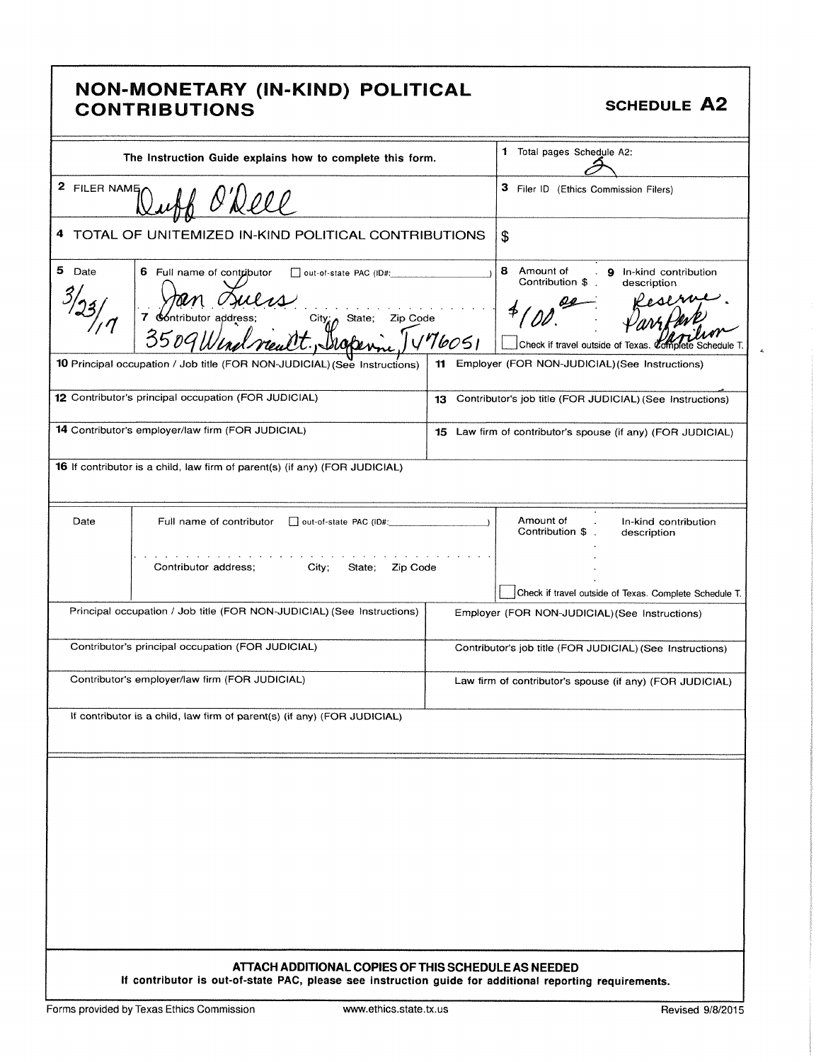#### NON- MONETARY ( IN- KIND) POLITICAL NON MONETAIN (IN RIND) I SERTOAL SCHEDULE A2

Ł

| The Instruction Guide explains how to complete this form.                                           |                                                                                                                                                                |  | 1 Total pages Schedule A2:                                                                                        |  |  |
|-----------------------------------------------------------------------------------------------------|----------------------------------------------------------------------------------------------------------------------------------------------------------------|--|-------------------------------------------------------------------------------------------------------------------|--|--|
| 2 FILER NAME                                                                                        |                                                                                                                                                                |  | 3 Filer ID (Ethics Commission Filers)                                                                             |  |  |
|                                                                                                     | TOTAL OF UNITEMIZED IN-KIND POLITICAL CONTRIBUTIONS                                                                                                            |  | \$                                                                                                                |  |  |
| 5<br>Date<br>6 Full name of contributor<br>out-of-state PAC (ID#:<br>City State; Zip Code<br>176051 |                                                                                                                                                                |  | 8 Amount of<br>. 9 In-kind contribution<br>Contribution \$.<br>description<br>Check if travel outside of Texas. 0 |  |  |
|                                                                                                     | <b>10</b> Principal occupation / Job title (FOR NON-JUDICIAL) (See Instructions)                                                                               |  | 11 Employer (FOR NON-JUDICIAL) (See Instructions)                                                                 |  |  |
|                                                                                                     | 12 Contributor's principal occupation (FOR JUDICIAL)                                                                                                           |  | 13 Contributor's job title (FOR JUDICIAL) (See Instructions)                                                      |  |  |
|                                                                                                     | 14 Contributor's employer/law firm (FOR JUDICIAL)                                                                                                              |  | 15 Law firm of contributor's spouse (if any) (FOR JUDICIAL)                                                       |  |  |
|                                                                                                     | 16 If contributor is a child, law firm of parent(s) (if any) (FOR JUDICIAL)                                                                                    |  |                                                                                                                   |  |  |
| Date                                                                                                | Full name of contributor<br>out-of-state PAC (ID#:                                                                                                             |  | Amount of<br>In-kind contribution<br>Contribution \$<br>description                                               |  |  |
|                                                                                                     | Contributor address;<br>City;<br>State;<br>Zip Code                                                                                                            |  | Check if travel outside of Texas. Complete Schedule T.                                                            |  |  |
|                                                                                                     | Principal occupation / Job title (FOR NON-JUDICIAL) (See Instructions)                                                                                         |  | Employer (FOR NON-JUDICIAL) (See Instructions)                                                                    |  |  |
|                                                                                                     | Contributor's principal occupation (FOR JUDICIAL)                                                                                                              |  | Contributor's job title (FOR JUDICIAL) (See Instructions)                                                         |  |  |
|                                                                                                     | Contributor's employer/law firm (FOR JUDICIAL)                                                                                                                 |  | Law firm of contributor's spouse (if any) (FOR JUDICIAL)                                                          |  |  |
|                                                                                                     | If contributor is a child, law firm of parent(s) (if any) (FOR JUDICIAL)                                                                                       |  |                                                                                                                   |  |  |
|                                                                                                     |                                                                                                                                                                |  |                                                                                                                   |  |  |
|                                                                                                     |                                                                                                                                                                |  |                                                                                                                   |  |  |
|                                                                                                     |                                                                                                                                                                |  |                                                                                                                   |  |  |
|                                                                                                     |                                                                                                                                                                |  |                                                                                                                   |  |  |
|                                                                                                     |                                                                                                                                                                |  |                                                                                                                   |  |  |
|                                                                                                     |                                                                                                                                                                |  |                                                                                                                   |  |  |
|                                                                                                     |                                                                                                                                                                |  |                                                                                                                   |  |  |
|                                                                                                     | ATTACH ADDITIONAL COPIES OF THIS SCHEDULE AS NEEDED<br>If contributor is out-of-state PAC, please see instruction guide for additional reporting requirements. |  |                                                                                                                   |  |  |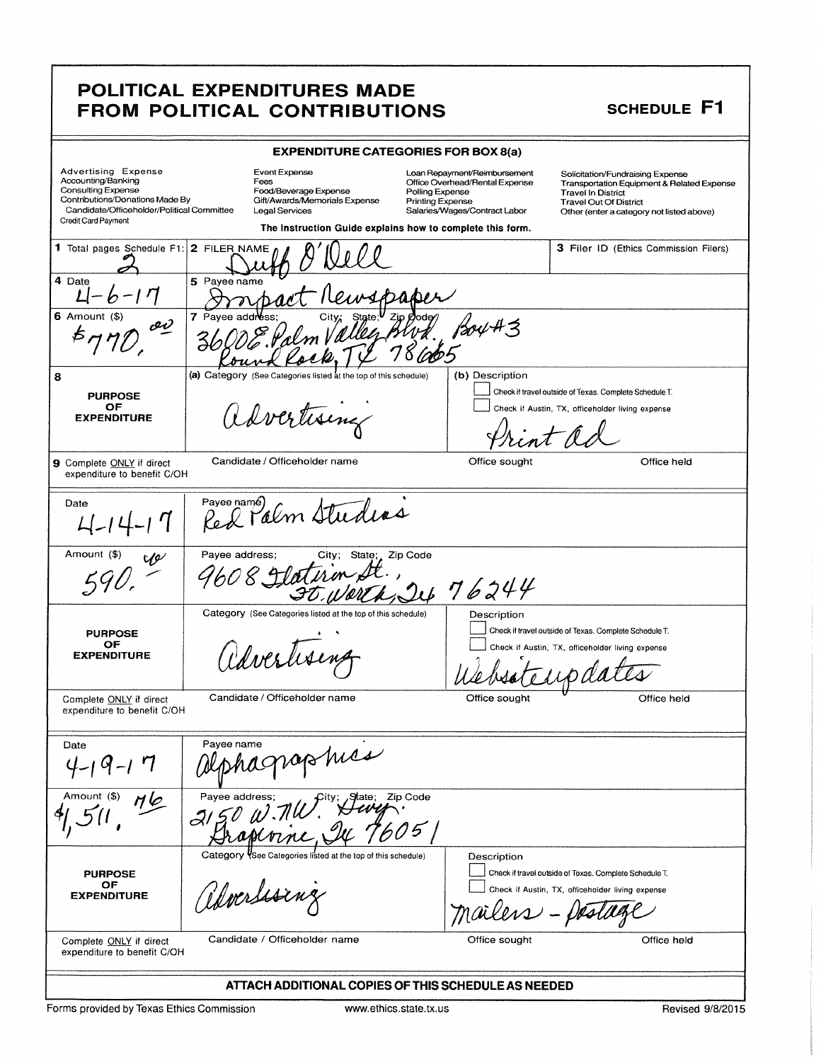#### POLITICAL EXPENDITURES MADE FROM POLITICAL CONTRIBUTIONS SCHEDULE F1

|                                                                                                                                                                                       |                          | <b>EXPENDITURE CATEGORIES FOR BOX 8(a)</b>                                                                                                                     |                                            |                                                                                                 |                                                                                                                                                                                           |  |
|---------------------------------------------------------------------------------------------------------------------------------------------------------------------------------------|--------------------------|----------------------------------------------------------------------------------------------------------------------------------------------------------------|--------------------------------------------|-------------------------------------------------------------------------------------------------|-------------------------------------------------------------------------------------------------------------------------------------------------------------------------------------------|--|
| <b>Advertising Expense</b><br>Accounting/Banking<br><b>Consulting Expense</b><br>Contributions/Donations Made By<br>Candidate/Officeholder/Political Committee<br>Credit Card Payment |                          | Event Expense<br>Fees<br>Food/Beverage Expense<br>Gift/Awards/Memorials Expense<br>Legal Services<br>The Instruction Guide explains how to complete this form. | Polling Expense<br><b>Printing Expense</b> | Loan Repayment/Reimbursement<br>Office Overhead/Rental Expense<br>Salaries/Wages/Contract Labor | Solicitation/Fundraising Expense<br>Transportation Equipment & Related Expense<br><b>Travel In District</b><br><b>Travel Out Of District</b><br>Other (enter a category not listed above) |  |
| 1 Total pages Schedule F1:                                                                                                                                                            | 2 FILER NAME             |                                                                                                                                                                |                                            |                                                                                                 | 3 Filer ID (Ethics Commission Filers)                                                                                                                                                     |  |
|                                                                                                                                                                                       |                          |                                                                                                                                                                |                                            |                                                                                                 |                                                                                                                                                                                           |  |
| 4 Date<br>$- b - 17$                                                                                                                                                                  | 5 Payee name             |                                                                                                                                                                |                                            |                                                                                                 |                                                                                                                                                                                           |  |
| $6$ Amount $(3)$                                                                                                                                                                      | 7 Payee addre            |                                                                                                                                                                |                                            |                                                                                                 |                                                                                                                                                                                           |  |
| ov                                                                                                                                                                                    |                          |                                                                                                                                                                |                                            | 180442                                                                                          |                                                                                                                                                                                           |  |
| 8                                                                                                                                                                                     |                          | (a) Category (See Categories listed at the top of this schedule)                                                                                               |                                            | (b) Description                                                                                 |                                                                                                                                                                                           |  |
| <b>PURPOSE</b>                                                                                                                                                                        |                          |                                                                                                                                                                |                                            |                                                                                                 | Check if travel outside of Texas. Complete Schedule T.                                                                                                                                    |  |
| ΟF<br><b>EXPENDITURE</b>                                                                                                                                                              |                          | advertising                                                                                                                                                    |                                            |                                                                                                 | Check if Austin, TX, officeholder living expense                                                                                                                                          |  |
|                                                                                                                                                                                       |                          |                                                                                                                                                                |                                            |                                                                                                 |                                                                                                                                                                                           |  |
| 9 Complete ONLY if direct<br>expenditure to benefit C/OH                                                                                                                              |                          | Candidate / Officeholder name                                                                                                                                  |                                            | Office sought                                                                                   | Office held                                                                                                                                                                               |  |
| Date                                                                                                                                                                                  |                          | Red Palm Studias                                                                                                                                               |                                            |                                                                                                 |                                                                                                                                                                                           |  |
| Amount (\$)<br>VP                                                                                                                                                                     | Payee address;           | City;                                                                                                                                                          | State; Zip Code                            | 476244                                                                                          |                                                                                                                                                                                           |  |
| <b>PURPOSE</b>                                                                                                                                                                        |                          | Category (See Categories listed at the top of this schedule)                                                                                                   |                                            | Description                                                                                     | Check if travel outside of Texas. Complete Schedule T.                                                                                                                                    |  |
| OF<br><b>EXPENDITURE</b>                                                                                                                                                              |                          | Caverlisent                                                                                                                                                    |                                            |                                                                                                 | Check if Austin, TX, officeholder living expense                                                                                                                                          |  |
| Complete ONLY if direct<br>expenditure to benefit C/OH                                                                                                                                |                          | Candidate / Officeholder name                                                                                                                                  |                                            | Office sought                                                                                   | Office held                                                                                                                                                                               |  |
| Date                                                                                                                                                                                  | Payee name               |                                                                                                                                                                |                                            |                                                                                                 |                                                                                                                                                                                           |  |
|                                                                                                                                                                                       |                          | smes                                                                                                                                                           |                                            |                                                                                                 |                                                                                                                                                                                           |  |
| Amount (\$)                                                                                                                                                                           | Pavee address:<br>3150 W |                                                                                                                                                                | Zip Code                                   |                                                                                                 |                                                                                                                                                                                           |  |
|                                                                                                                                                                                       |                          | Category VSee Categories listed at the top of this schedule)                                                                                                   |                                            | Description                                                                                     |                                                                                                                                                                                           |  |
| <b>PURPOSE</b>                                                                                                                                                                        |                          |                                                                                                                                                                |                                            |                                                                                                 | Check if travel outside of Texas. Complete Schedule T.                                                                                                                                    |  |
| OF<br><b>EXPENDITURE</b>                                                                                                                                                              |                          | albordssing                                                                                                                                                    |                                            | mailers - Deslag                                                                                | Check if Austin, TX, officeholder living expense                                                                                                                                          |  |
| Complete ONLY if direct<br>expenditure to benefit C/OH                                                                                                                                |                          | Candidate / Officeholder name                                                                                                                                  |                                            | Office sought                                                                                   | Office held                                                                                                                                                                               |  |
|                                                                                                                                                                                       |                          | ATTACH ADDITIONAL COPIES OF THIS SCHEDULE AS NEEDED                                                                                                            |                                            |                                                                                                 |                                                                                                                                                                                           |  |